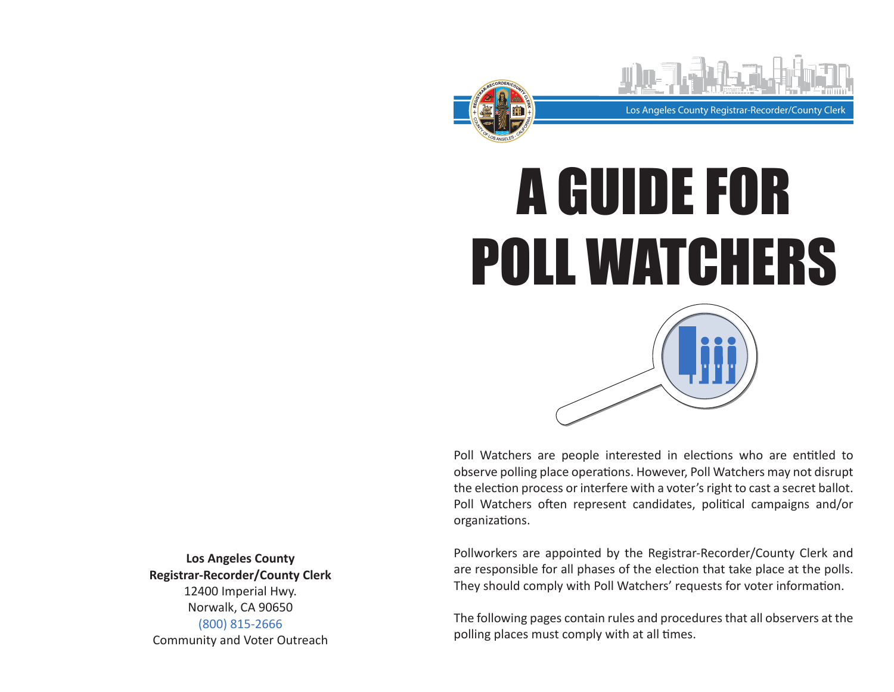



Poll Watchers are people interested in elections who are entitled to observe polling place operations. However, Poll Watchers may not disrupt the election process or interfere with a voter's right to cast a secret ballot. Poll Watchers often represent candidates, political campaigns and/or organizations.

Pollworkers are appointed by the Registrar-Recorder/County Clerk and are responsible for all phases of the election that take place at the polls. They should comply with Poll Watchers' requests for voter information.

The following pages contain rules and procedures that all observers at the polling places must comply with at all times.

**Los Angeles County Registrar-Recorder/County Clerk** 12400 Imperial Hwy. Norwalk, CA 90650 (800) 815-2666 Community and Voter Outreach